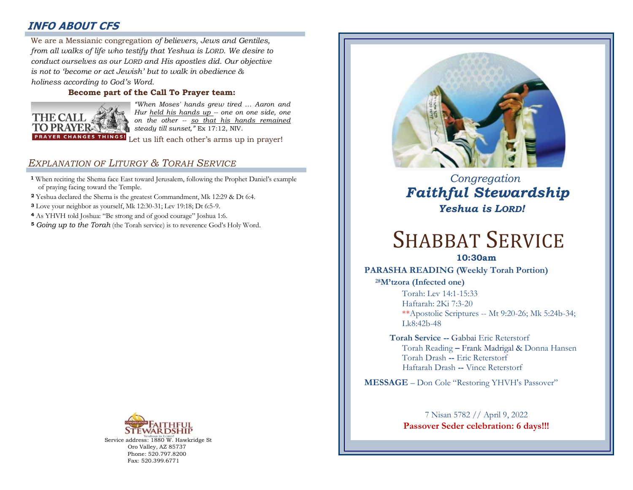# **INFO ABOUT CFS**

: *from all walks of life who testify that Yeshua is LORD. We desire to*  We are a Messianic congregation *of believers, Jews and Gentiles, conduct ourselves as our LORD and His apostles did. Our objective is not to 'become or act Jewish' but to walk in obedience & holiness according to God's Word.* 

#### **Become part of the Call To Prayer team:**



*"When Moses' hands grew tired … Aaron and Hur held his hands up -- one on one side, one on the other -- so that his hands remained steady till sunset,"* Ex 17:12, NIV.

Let us lift each other's arms up in prayer!

# *EXPLANATION OF LITURGY & TORAH SERVICE*

- **<sup>1</sup>** When reciting the Shema face East toward Jerusalem, following the Prophet Daniel's example of praying facing toward the Temple.
- **<sup>2</sup>** Yeshua declared the Shema is the greatest Commandment, Mk 12:29 & Dt 6:4.
- **<sup>3</sup>** Love your neighbor as yourself, Mk 12:30-31; Lev 19:18; Dt 6:5-9.
- **<sup>4</sup>** As YHVH told Joshua: "Be strong and of good courage" Joshua 1:6.
- **<sup>5</sup>** *Going up to the Torah* (the Torah service) is to reverence God's Holy Word.



Service address: 1880 W. Hawkridge St Oro Valley, AZ 85737 Phone: 520.797.8200 Fax: 520.399.6771



# *Congregation Faithful Stewardship Yeshua is LORD!*

# SHABBAT SERVICE

### **10:30am**

#### **PARASHA READING (Weekly Torah Portion)**

**<sup>28</sup>M'tzora (Infected one)**

Torah: Lev 14:1-15:33 Haftarah: 2Ki 7:3-20 \*\*Apostolic Scriptures -- Mt 9:20-26; Mk 5:24b-34; Lk8:42b-48

**Torah Service --** Gabbai Eric Reterstorf Torah Reading **–** Frank Madrigal & Donna Hansen Torah Drash **--** Eric Reterstorf Haftarah Drash **--** Vince Reterstorf

**MESSAGE** – Don Cole "Restoring YHVH's Passover"

## 7 Nisan 5782 // April 9, 2022 **Passover Seder celebration: 6 days!!!**